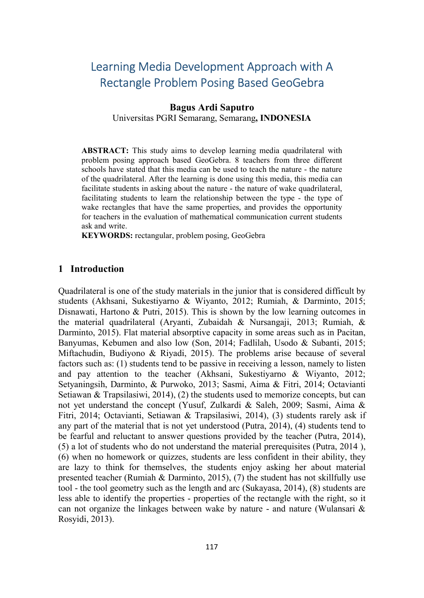# Learning Media Development Approach with A Rectangle Problem Posing Based GeoGebra

# Bagus Ardi Saputro

Universitas PGRI Semarang, Semarang, INDONESIA

ABSTRACT: This study aims to develop learning media quadrilateral with problem posing approach based GeoGebra. 8 teachers from three different schools have stated that this media can be used to teach the nature - the nature of the quadrilateral. After the learning is done using this media, this media can facilitate students in asking about the nature - the nature of wake quadrilateral, facilitating students to learn the relationship between the type - the type of wake rectangles that have the same properties, and provides the opportunity for teachers in the evaluation of mathematical communication current students ask and write.

KEYWORDS: rectangular, problem posing, GeoGebra

# 1 Introduction

Quadrilateral is one of the study materials in the junior that is considered difficult by students (Akhsani, Sukestiyarno & Wiyanto, 2012; Rumiah, & Darminto, 2015; Disnawati, Hartono & Putri, 2015). This is shown by the low learning outcomes in the material quadrilateral (Aryanti, Zubaidah & Nursangaji, 2013; Rumiah, & Darminto, 2015). Flat material absorptive capacity in some areas such as in Pacitan, Banyumas, Kebumen and also low (Son, 2014; Fadlilah, Usodo & Subanti, 2015; Miftachudin, Budiyono & Riyadi, 2015). The problems arise because of several factors such as: (1) students tend to be passive in receiving a lesson, namely to listen and pay attention to the teacher (Akhsani, Sukestiyarno & Wiyanto, 2012; Setyaningsih, Darminto, & Purwoko, 2013; Sasmi, Aima & Fitri, 2014; Octavianti Setiawan & Trapsilasiwi, 2014), (2) the students used to memorize concepts, but can not yet understand the concept (Yusuf, Zulkardi & Saleh, 2009; Sasmi, Aima & Fitri, 2014; Octavianti, Setiawan & Trapsilasiwi, 2014), (3) students rarely ask if any part of the material that is not yet understood (Putra, 2014), (4) students tend to be fearful and reluctant to answer questions provided by the teacher (Putra, 2014), (5) a lot of students who do not understand the material prerequisites (Putra, 2014 ), (6) when no homework or quizzes, students are less confident in their ability, they are lazy to think for themselves, the students enjoy asking her about material presented teacher (Rumiah & Darminto, 2015), (7) the student has not skillfully use tool - the tool geometry such as the length and arc (Sukayasa, 2014), (8) students are less able to identify the properties - properties of the rectangle with the right, so it can not organize the linkages between wake by nature - and nature (Wulansari & Rosyidi, 2013).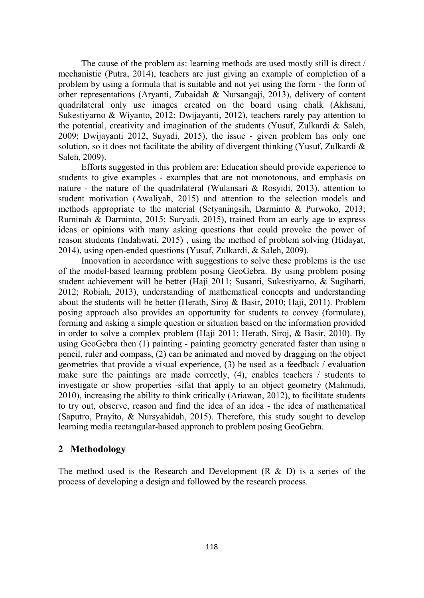The cause of the problem as: learning methods are used mostly still is direct / mechanistic (Putra, 2014), teachers are just giving an example of completion of a problem by using a formula that is suitable and not yet using the form - the form of other representations (Aryanti, Zubaidah & Nursangaji, 2013), delivery of content quadrilateral only use images created on the board using chalk (Akhsani, Sukestiyarno & Wiyanto, 2012; Dwijayanti, 2012), teachers rarely pay attention to the potential, creativity and imagination of the students (Yusuf, Zulkardi & Saleh, 2009; Dwijayanti 2012, Suyadi, 2015), the issue - given problem has only one solution, so it does not facilitate the ability of divergent thinking (Yusuf, Zulkardi & Saleh, 2009).

Efforts suggested in this problem are: Education should provide experience to students to give examples - examples that are not monotonous, and emphasis on nature - the nature of the quadrilateral (Wulansari & Rosyidi, 2013), attention to student motivation (Awaliyah, 2015) and attention to the selection models and methods appropriate to the material (Setyaningsih, Darminto & Purwoko, 2013; Ruminah & Darminto, 2015; Suryadi, 2015), trained from an early age to express ideas or opinions with many asking questions that could provoke the power of reason students (Indahwati, 2015) , using the method of problem solving (Hidayat, 2014), using open-ended questions (Yusuf, Zulkardi, & Saleh, 2009).

Innovation in accordance with suggestions to solve these problems is the use of the model-based learning problem posing GeoGebra. By using problem posing student achievement will be better (Haji 2011; Susanti, Sukestiyarno, & Sugiharti, 2012; Robiah, 2013), understanding of mathematical concepts and understanding about the students will be better (Herath, Siroj & Basir, 2010; Haji, 2011). Problem posing approach also provides an opportunity for students to convey (formulate), forming and asking a simple question or situation based on the information provided in order to solve a complex problem (Haji 2011; Herath, Siroj, & Basir, 2010). By using GeoGebra then (1) painting - painting geometry generated faster than using a pencil, ruler and compass, (2) can be animated and moved by dragging on the object geometries that provide a visual experience, (3) be used as a feedback / evaluation make sure the paintings are made correctly, (4), enables teachers / students to investigate or show properties -sifat that apply to an object geometry (Mahmudi, 2010), increasing the ability to think critically (Ariawan, 2012), to facilitate students to try out, observe, reason and find the idea of an idea - the idea of mathematical (Saputro, Prayito, & Nursyahidah, 2015). Therefore, this study sought to develop learning media rectangular-based approach to problem posing GeoGebra.

### 2 Methodology

The method used is the Research and Development  $(R \& D)$  is a series of the process of developing a design and followed by the research process.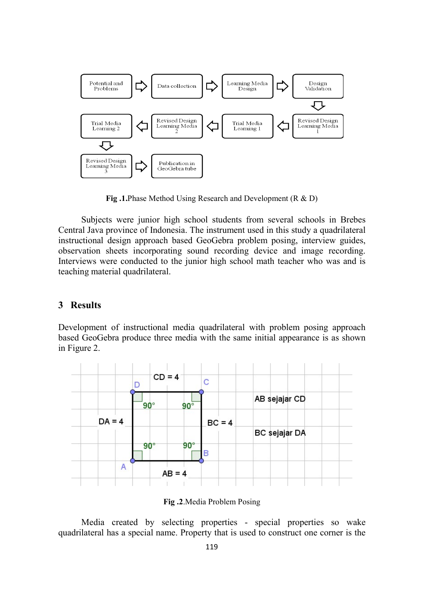

Fig .1.Phase Method Using Research and Development (R & D)

Subjects were junior high school students from several schools in Brebes Central Java province of Indonesia. The instrument used in this study a quadrilateral instructional design approach based GeoGebra problem posing, interview guides, observation sheets incorporating sound recording device and image recording. Interviews were conducted to the junior high school math teacher who was and is teaching material quadrilateral.

# 3 Results

Development of instructional media quadrilateral with problem posing approach based GeoGebra produce three media with the same initial appearance is as shown in Figure 2.



Fig .2.Media Problem Posing

Media created by selecting properties - special properties so wake quadrilateral has a special name. Property that is used to construct one corner is the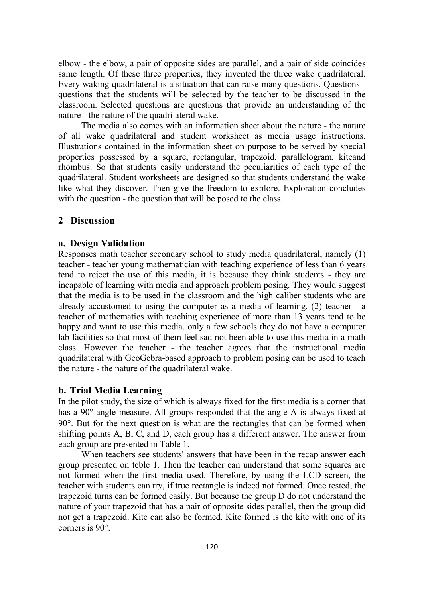elbow - the elbow, a pair of opposite sides are parallel, and a pair of side coincides same length. Of these three properties, they invented the three wake quadrilateral. Every waking quadrilateral is a situation that can raise many questions. Questions questions that the students will be selected by the teacher to be discussed in the classroom. Selected questions are questions that provide an understanding of the nature - the nature of the quadrilateral wake.

The media also comes with an information sheet about the nature - the nature of all wake quadrilateral and student worksheet as media usage instructions. Illustrations contained in the information sheet on purpose to be served by special properties possessed by a square, rectangular, trapezoid, parallelogram, kiteand rhombus. So that students easily understand the peculiarities of each type of the quadrilateral. Student worksheets are designed so that students understand the wake like what they discover. Then give the freedom to explore. Exploration concludes with the question - the question that will be posed to the class.

#### 2 Discussion

#### a. Design Validation

Responses math teacher secondary school to study media quadrilateral, namely (1) teacher - teacher young mathematician with teaching experience of less than 6 years tend to reject the use of this media, it is because they think students - they are incapable of learning with media and approach problem posing. They would suggest that the media is to be used in the classroom and the high caliber students who are already accustomed to using the computer as a media of learning. (2) teacher - a teacher of mathematics with teaching experience of more than 13 years tend to be happy and want to use this media, only a few schools they do not have a computer lab facilities so that most of them feel sad not been able to use this media in a math class. However the teacher - the teacher agrees that the instructional media quadrilateral with GeoGebra-based approach to problem posing can be used to teach the nature - the nature of the quadrilateral wake.

#### b. Trial Media Learning

In the pilot study, the size of which is always fixed for the first media is a corner that has a  $90^\circ$  angle measure. All groups responded that the angle A is always fixed at 90. But for the next question is what are the rectangles that can be formed when shifting points A, B, C, and D, each group has a different answer. The answer from each group are presented in Table 1.

When teachers see students' answers that have been in the recap answer each group presented on teble 1. Then the teacher can understand that some squares are not formed when the first media used. Therefore, by using the LCD screen, the teacher with students can try, if true rectangle is indeed not formed. Once tested, the trapezoid turns can be formed easily. But because the group D do not understand the nature of your trapezoid that has a pair of opposite sides parallel, then the group did not get a trapezoid. Kite can also be formed. Kite formed is the kite with one of its corners is 90<sup>o</sup>.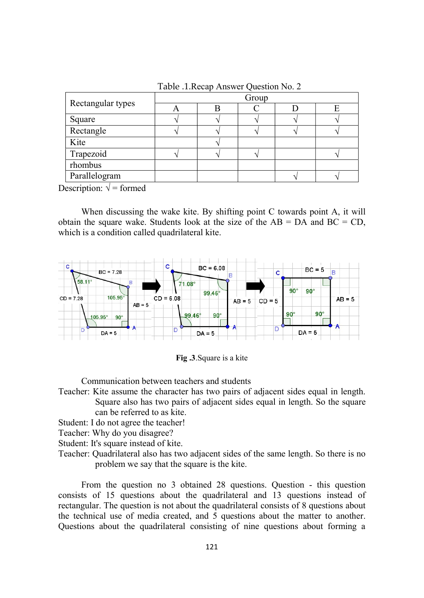|                   | Group |  |  |  |  |
|-------------------|-------|--|--|--|--|
| Rectangular types |       |  |  |  |  |
| Square            |       |  |  |  |  |
| Rectangle         |       |  |  |  |  |
| Kite              |       |  |  |  |  |
| Trapezoid         |       |  |  |  |  |
| rhombus           |       |  |  |  |  |
| Parallelogram     |       |  |  |  |  |

Table .1.Recap Answer Question No. 2

Description:  $\sqrt{\ }$  = formed

When discussing the wake kite. By shifting point C towards point A, it will obtain the square wake. Students look at the size of the  $AB = DA$  and  $BC = CD$ , which is a condition called quadrilateral kite.





Communication between teachers and students

Teacher: Kite assume the character has two pairs of adjacent sides equal in length. Square also has two pairs of adjacent sides equal in length. So the square can be referred to as kite.

Student: I do not agree the teacher!

Teacher: Why do you disagree?

Student: It's square instead of kite.

Teacher: Quadrilateral also has two adjacent sides of the same length. So there is no problem we say that the square is the kite.

From the question no 3 obtained 28 questions. Question - this question consists of 15 questions about the quadrilateral and 13 questions instead of rectangular. The question is not about the quadrilateral consists of 8 questions about the technical use of media created, and 5 questions about the matter to another. Questions about the quadrilateral consisting of nine questions about forming a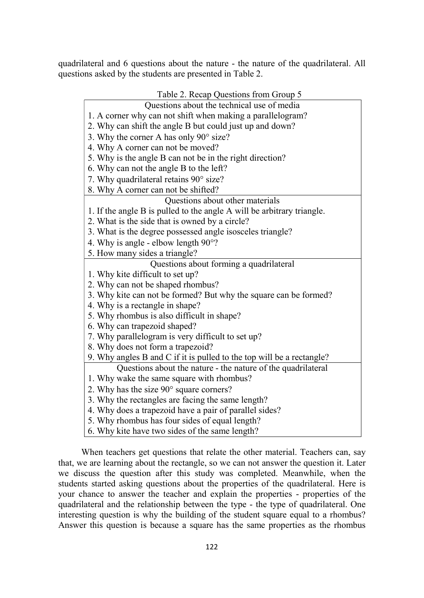quadrilateral and 6 questions about the nature - the nature of the quadrilateral. All questions asked by the students are presented in Table 2.

|  |  | Table 2. Recap Questions from Group 5 |
|--|--|---------------------------------------|
|--|--|---------------------------------------|

| Questions about the technical use of media                             |  |  |  |  |
|------------------------------------------------------------------------|--|--|--|--|
| 1. A corner why can not shift when making a parallelogram?             |  |  |  |  |
| 2. Why can shift the angle B but could just up and down?               |  |  |  |  |
| 3. Why the corner A has only $90^\circ$ size?                          |  |  |  |  |
| 4. Why A corner can not be moved?                                      |  |  |  |  |
| 5. Why is the angle B can not be in the right direction?               |  |  |  |  |
| 6. Why can not the angle B to the left?                                |  |  |  |  |
| 7. Why quadrilateral retains 90° size?                                 |  |  |  |  |
| 8. Why A corner can not be shifted?                                    |  |  |  |  |
| Questions about other materials                                        |  |  |  |  |
| 1. If the angle B is pulled to the angle A will be arbitrary triangle. |  |  |  |  |
| 2. What is the side that is owned by a circle?                         |  |  |  |  |
| 3. What is the degree possessed angle isosceles triangle?              |  |  |  |  |
| 4. Why is angle - elbow length $90^{\circ}$ ?                          |  |  |  |  |
| 5. How many sides a triangle?                                          |  |  |  |  |
| Questions about forming a quadrilateral                                |  |  |  |  |
| 1. Why kite difficult to set up?                                       |  |  |  |  |
| 2. Why can not be shaped rhombus?                                      |  |  |  |  |
| 3. Why kite can not be formed? But why the square can be formed?       |  |  |  |  |
| 4. Why is a rectangle in shape?                                        |  |  |  |  |
| 5. Why rhombus is also difficult in shape?                             |  |  |  |  |
| 6. Why can trapezoid shaped?                                           |  |  |  |  |
| 7. Why parallelogram is very difficult to set up?                      |  |  |  |  |
| 8. Why does not form a trapezoid?                                      |  |  |  |  |
| 9. Why angles B and C if it is pulled to the top will be a rectangle?  |  |  |  |  |
| Questions about the nature - the nature of the quadrilateral           |  |  |  |  |
| 1. Why wake the same square with rhombus?                              |  |  |  |  |
| 2. Why has the size 90° square corners?                                |  |  |  |  |
| 3. Why the rectangles are facing the same length?                      |  |  |  |  |
| 4. Why does a trapezoid have a pair of parallel sides?                 |  |  |  |  |
| 5. Why rhombus has four sides of equal length?                         |  |  |  |  |
| 6. Why kite have two sides of the same length?                         |  |  |  |  |

When teachers get questions that relate the other material. Teachers can, say that, we are learning about the rectangle, so we can not answer the question it. Later we discuss the question after this study was completed. Meanwhile, when the students started asking questions about the properties of the quadrilateral. Here is your chance to answer the teacher and explain the properties - properties of the quadrilateral and the relationship between the type - the type of quadrilateral. One interesting question is why the building of the student square equal to a rhombus? Answer this question is because a square has the same properties as the rhombus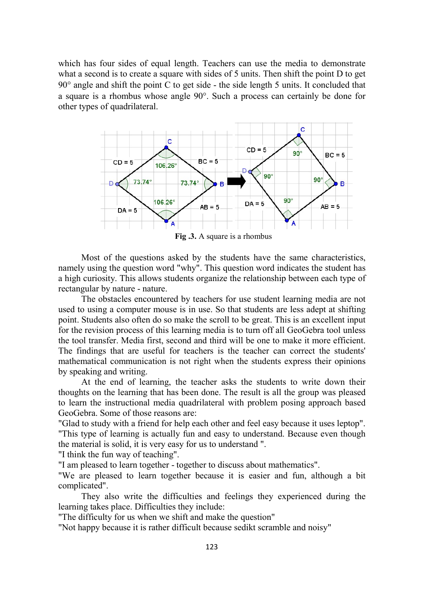which has four sides of equal length. Teachers can use the media to demonstrate what a second is to create a square with sides of 5 units. Then shift the point D to get  $90^\circ$  angle and shift the point C to get side - the side length 5 units. It concluded that a square is a rhombus whose angle  $90^\circ$ . Such a process can certainly be done for other types of quadrilateral.



Most of the questions asked by the students have the same characteristics, namely using the question word "why". This question word indicates the student has a high curiosity. This allows students organize the relationship between each type of rectangular by nature - nature.

The obstacles encountered by teachers for use student learning media are not used to using a computer mouse is in use. So that students are less adept at shifting point. Students also often do so make the scroll to be great. This is an excellent input for the revision process of this learning media is to turn off all GeoGebra tool unless the tool transfer. Media first, second and third will be one to make it more efficient. The findings that are useful for teachers is the teacher can correct the students' mathematical communication is not right when the students express their opinions by speaking and writing.

At the end of learning, the teacher asks the students to write down their thoughts on the learning that has been done. The result is all the group was pleased to learn the instructional media quadrilateral with problem posing approach based GeoGebra. Some of those reasons are:

"Glad to study with a friend for help each other and feel easy because it uses leptop". "This type of learning is actually fun and easy to understand. Because even though the material is solid, it is very easy for us to understand ".

"I think the fun way of teaching".

"I am pleased to learn together - together to discuss about mathematics".

"We are pleased to learn together because it is easier and fun, although a bit complicated".

They also write the difficulties and feelings they experienced during the learning takes place. Difficulties they include:

"The difficulty for us when we shift and make the question"

"Not happy because it is rather difficult because sedikt scramble and noisy"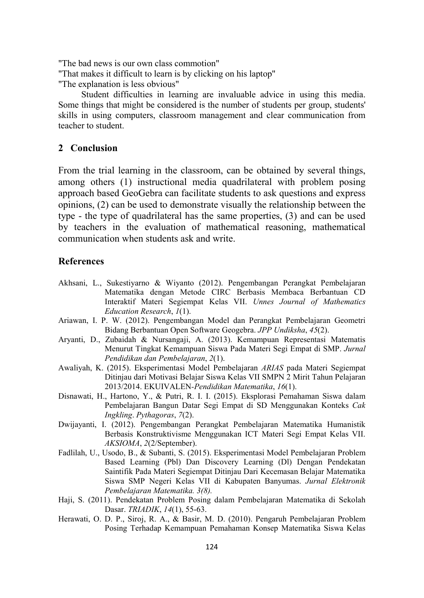"The bad news is our own class commotion"

"That makes it difficult to learn is by clicking on his laptop"

"The explanation is less obvious"

Student difficulties in learning are invaluable advice in using this media. Some things that might be considered is the number of students per group, students' skills in using computers, classroom management and clear communication from teacher to student.

## 2 Conclusion

From the trial learning in the classroom, can be obtained by several things, among others (1) instructional media quadrilateral with problem posing approach based GeoGebra can facilitate students to ask questions and express opinions, (2) can be used to demonstrate visually the relationship between the type - the type of quadrilateral has the same properties, (3) and can be used by teachers in the evaluation of mathematical reasoning, mathematical communication when students ask and write.

## References

- Akhsani, L., Sukestiyarno & Wiyanto (2012). Pengembangan Perangkat Pembelajaran Matematika dengan Metode CIRC Berbasis Membaca Berbantuan CD Interaktif Materi Segiempat Kelas VII. Unnes Journal of Mathematics Education Research, 1(1).
- Ariawan, I. P. W. (2012). Pengembangan Model dan Perangkat Pembelajaran Geometri Bidang Berbantuan Open Software Geogebra. JPP Undiksha, 45(2).
- Aryanti, D., Zubaidah & Nursangaji, A. (2013). Kemampuan Representasi Matematis Menurut Tingkat Kemampuan Siswa Pada Materi Segi Empat di SMP. Jurnal Pendidikan dan Pembelajaran, 2(1).
- Awaliyah, K. (2015). Eksperimentasi Model Pembelajaran ARIAS pada Materi Segiempat Ditinjau dari Motivasi Belajar Siswa Kelas VII SMPN 2 Mirit Tahun Pelajaran 2013/2014. EKUIVALEN-Pendidikan Matematika, 16(1).
- Disnawati, H., Hartono, Y., & Putri, R. I. I. (2015). Eksplorasi Pemahaman Siswa dalam Pembelajaran Bangun Datar Segi Empat di SD Menggunakan Konteks Cak Ingkling. Pythagoras, 7(2).
- Dwijayanti, I. (2012). Pengembangan Perangkat Pembelajaran Matematika Humanistik Berbasis Konstruktivisme Menggunakan ICT Materi Segi Empat Kelas VII. AKSIOMA, 2(2/September).
- Fadlilah, U., Usodo, B., & Subanti, S. (2015). Eksperimentasi Model Pembelajaran Problem Based Learning (Pbl) Dan Discovery Learning (Dl) Dengan Pendekatan Saintifik Pada Materi Segiempat Ditinjau Dari Kecemasan Belajar Matematika Siswa SMP Negeri Kelas VII di Kabupaten Banyumas. Jurnal Elektronik Pembelajaran Matematika. 3(8).
- Haji, S. (2011). Pendekatan Problem Posing dalam Pembelajaran Matematika di Sekolah Dasar. TRIADIK, 14(1), 55-63.
- Herawati, O. D. P., Siroj, R. A., & Basir, M. D. (2010). Pengaruh Pembelajaran Problem Posing Terhadap Kemampuan Pemahaman Konsep Matematika Siswa Kelas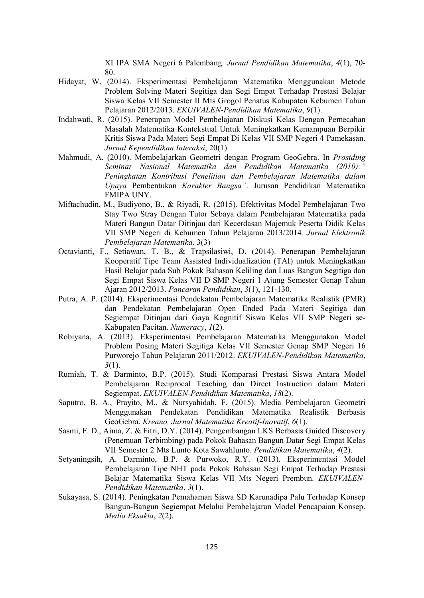XI IPA SMA Negeri 6 Palembang. Jurnal Pendidikan Matematika, 4(1), 70- 80.

- Hidayat, W. (2014). Eksperimentasi Pembelajaran Matematika Menggunakan Metode Problem Solving Materi Segitiga dan Segi Empat Terhadap Prestasi Belajar Siswa Kelas VII Semester II Mts Grogol Penatus Kabupaten Kebumen Tahun Pelajaran 2012/2013. EKUIVALEN-Pendidikan Matematika, 9(1).
- Indahwati, R. (2015). Penerapan Model Pembelajaran Diskusi Kelas Dengan Pemecahan Masalah Matematika Kontekstual Untuk Meningkatkan Kemampuan Berpikir Kritis Siswa Pada Materi Segi Empat Di Kelas VII SMP Negeri 4 Pamekasan. Jurnal Kependidikan Interaksi, 20(1)
- Mahmudi, A. (2010). Membelajarkan Geometri dengan Program GeoGebra. In Prosiding Seminar Nasional Matematika dan Pendidikan Matematika (2010): Peningkatan Kontribusi Penelitian dan Pembelajaran Matematika dalam Upaya Pembentukan Karakter Bangsa". Jurusan Pendidikan Matematika FMIPA UNY.
- Miftachudin, M., Budiyono, B., & Riyadi, R. (2015). Efektivitas Model Pembelajaran Two Stay Two Stray Dengan Tutor Sebaya dalam Pembelajaran Matematika pada Materi Bangun Datar Ditinjau dari Kecerdasan Majemuk Peserta Didik Kelas VII SMP Negeri di Kebumen Tahun Pelajaran 2013/2014. Jurnal Elektronik Pembelajaran Matematika. 3(3)
- Octavianti, F., Setiawan, T. B., & Trapsilasiwi, D. (2014). Penerapan Pembelajaran Kooperatif Tipe Team Assisted Individualization (TAI) untuk Meningkatkan Hasil Belajar pada Sub Pokok Bahasan Keliling dan Luas Bangun Segitiga dan Segi Empat Siswa Kelas VII D SMP Negeri 1 Ajung Semester Genap Tahun Ajaran 2012/2013. Pancaran Pendidikan, 3(1), 121-130.
- Putra, A. P. (2014). Eksperimentasi Pendekatan Pembelajaran Matematika Realistik (PMR) dan Pendekatan Pembelajaran Open Ended Pada Materi Segitiga dan Segiempat Ditinjau dari Gaya Kognitif Siswa Kelas VII SMP Negeri se-Kabupaten Pacitan. Numeracy, 1(2).
- Robiyana, A. (2013). Eksperimentasi Pembelajaran Matematika Menggunakan Model Problem Posing Materi Segitiga Kelas VII Semester Genap SMP Negeri 16 Purworejo Tahun Pelajaran 2011/2012. EKUIVALEN-Pendidikan Matematika,  $3(1)$ .
- Rumiah, T. & Darminto, B.P. (2015). Studi Komparasi Prestasi Siswa Antara Model Pembelajaran Reciprocal Teaching dan Direct Instruction dalam Materi Segiempat. EKUIVALEN-Pendidikan Matematika, 18(2).
- Saputro, B. A., Prayito, M., & Nursyahidah, F. (2015). Media Pembelajaran Geometri Menggunakan Pendekatan Pendidikan Matematika Realistik Berbasis GeoGebra. Kreano, Jurnal Matematika Kreatif-Inovatif, 6(1).
- Sasmi, F. D., Aima, Z. & Fitri, D.Y. (2014). Pengembangan LKS Berbasis Guided Discovery (Penemuan Terbimbing) pada Pokok Bahasan Bangun Datar Segi Empat Kelas VII Semester 2 Mts Lunto Kota Sawahlunto. Pendidikan Matematika, 4(2).
- Setyaningsih, A. Darminto, B.P. & Purwoko, R.Y. (2013). Eksperimentasi Model Pembelajaran Tipe NHT pada Pokok Bahasan Segi Empat Terhadap Prestasi Belajar Matematika Siswa Kelas VII Mts Negeri Prembun. EKUIVALEN-Pendidikan Matematika, 3(1).
- Sukayasa, S. (2014). Peningkatan Pemahaman Siswa SD Karunadipa Palu Terhadap Konsep Bangun-Bangun Segiempat Melalui Pembelajaran Model Pencapaian Konsep. Media Eksakta, 2(2).